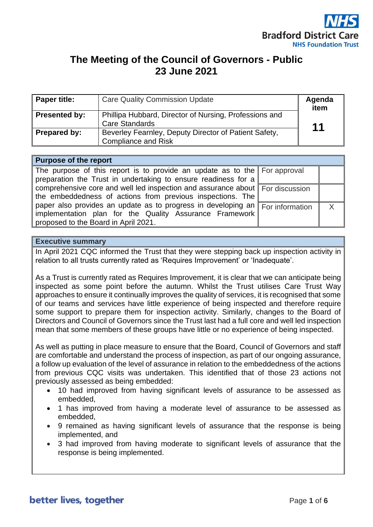

# **The Meeting of the Council of Governors - Public 23 June 2021**

| <b>Paper title:</b>  | <b>Care Quality Commission Update</b>                                               | Agenda<br>item |
|----------------------|-------------------------------------------------------------------------------------|----------------|
| <b>Presented by:</b> | Phillipa Hubbard, Director of Nursing, Professions and<br><b>Care Standards</b>     | 11             |
| Prepared by:         | Beverley Fearnley, Deputy Director of Patient Safety,<br><b>Compliance and Risk</b> |                |

## **Purpose of the report**

| The purpose of this report is to provide an update as to the $\parallel$ For approval              |  |
|----------------------------------------------------------------------------------------------------|--|
| preparation the Trust in undertaking to ensure readiness for a                                     |  |
| comprehensive core and well led inspection and assurance about For discussion                      |  |
| the embeddedness of actions from previous inspections. The                                         |  |
| paper also provides an update as to progress in developing an $\sqrt{\frac{F}{T}}$ For information |  |
| implementation plan for the Quality Assurance Framework                                            |  |
| proposed to the Board in April 2021.                                                               |  |

### **Executive summary**

In April 2021 CQC informed the Trust that they were stepping back up inspection activity in relation to all trusts currently rated as 'Requires Improvement' or 'Inadequate'.

As a Trust is currently rated as Requires Improvement, it is clear that we can anticipate being inspected as some point before the autumn. Whilst the Trust utilises Care Trust Way approaches to ensure it continually improves the quality of services, it is recognised that some of our teams and services have little experience of being inspected and therefore require some support to prepare them for inspection activity. Similarly, changes to the Board of Directors and Council of Governors since the Trust last had a full core and well led inspection mean that some members of these groups have little or no experience of being inspected.

As well as putting in place measure to ensure that the Board, Council of Governors and staff are comfortable and understand the process of inspection, as part of our ongoing assurance, a follow up evaluation of the level of assurance in relation to the embeddedness of the actions from previous CQC visits was undertaken. This identified that of those 23 actions not previously assessed as being embedded:

- 10 had improved from having significant levels of assurance to be assessed as embedded,
- 1 has improved from having a moderate level of assurance to be assessed as embedded,
- 9 remained as having significant levels of assurance that the response is being implemented, and
- 3 had improved from having moderate to significant levels of assurance that the response is being implemented.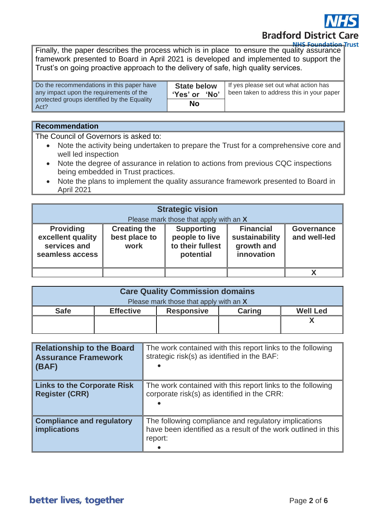**Bradford District Care** 

**NHS Foundation Trust** 

Finally, the paper describes the process which is in place to ensure the quality assurance framework presented to Board in April 2021 is developed and implemented to support the Trust's on going proactive approach to the delivery of safe, high quality services.

| Do the recommendations in this paper have<br>any impact upon the requirements of the<br>protected groups identified by the Equality<br>Act? | <b>State below</b><br>'Yes' or 'No' | If yes please set out what action has<br>been taken to address this in your paper |
|---------------------------------------------------------------------------------------------------------------------------------------------|-------------------------------------|-----------------------------------------------------------------------------------|
|                                                                                                                                             | No                                  |                                                                                   |

### **Recommendation**

The Council of Governors is asked to:

- Note the activity being undertaken to prepare the Trust for a comprehensive core and well led inspection
- Note the degree of assurance in relation to actions from previous CQC inspections being embedded in Trust practices.
- Note the plans to implement the quality assurance framework presented to Board in April 2021

| <b>Strategic vision</b><br>Please mark those that apply with an X        |                                              |                                                                      |                                                                |                                   |
|--------------------------------------------------------------------------|----------------------------------------------|----------------------------------------------------------------------|----------------------------------------------------------------|-----------------------------------|
| <b>Providing</b><br>excellent quality<br>services and<br>seamless access | <b>Creating the</b><br>best place to<br>work | <b>Supporting</b><br>people to live<br>to their fullest<br>potential | <b>Financial</b><br>sustainability<br>growth and<br>innovation | <b>Governance</b><br>and well-led |
|                                                                          |                                              |                                                                      |                                                                |                                   |

| <b>Care Quality Commission domains</b> |                  |                   |               |                 |
|----------------------------------------|------------------|-------------------|---------------|-----------------|
| Please mark those that apply with an X |                  |                   |               |                 |
| <b>Safe</b>                            | <b>Effective</b> | <b>Responsive</b> | <b>Caring</b> | <b>Well Led</b> |
|                                        |                  |                   |               |                 |
|                                        |                  |                   |               |                 |

| <b>Relationship to the Board</b><br><b>Assurance Framework</b><br>(BAF) | The work contained with this report links to the following<br>strategic risk(s) as identified in the BAF:                        |
|-------------------------------------------------------------------------|----------------------------------------------------------------------------------------------------------------------------------|
| <b>Links to the Corporate Risk</b><br><b>Register (CRR)</b>             | The work contained with this report links to the following<br>corporate risk(s) as identified in the CRR:                        |
| <b>Compliance and regulatory</b><br><b>implications</b>                 | The following compliance and regulatory implications<br>have been identified as a result of the work outlined in this<br>report: |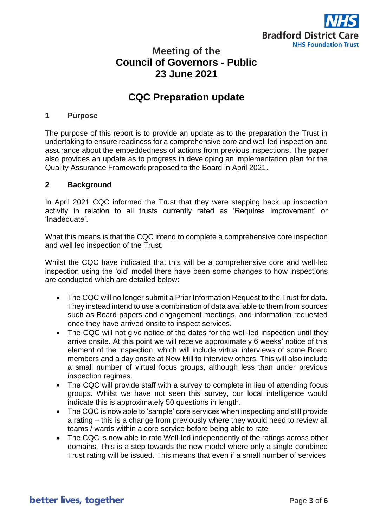

## **Meeting of the Council of Governors - Public 23 June 2021**

## **CQC Preparation update**

#### **1 Purpose**

The purpose of this report is to provide an update as to the preparation the Trust in undertaking to ensure readiness for a comprehensive core and well led inspection and assurance about the embeddedness of actions from previous inspections. The paper also provides an update as to progress in developing an implementation plan for the Quality Assurance Framework proposed to the Board in April 2021.

## **2 Background**

In April 2021 CQC informed the Trust that they were stepping back up inspection activity in relation to all trusts currently rated as 'Requires Improvement' or 'Inadequate'.

What this means is that the CQC intend to complete a comprehensive core inspection and well led inspection of the Trust.

Whilst the CQC have indicated that this will be a comprehensive core and well-led inspection using the 'old' model there have been some changes to how inspections are conducted which are detailed below:

- The CQC will no longer submit a Prior Information Request to the Trust for data. They instead intend to use a combination of data available to them from sources such as Board papers and engagement meetings, and information requested once they have arrived onsite to inspect services.
- The CQC will not give notice of the dates for the well-led inspection until they arrive onsite. At this point we will receive approximately 6 weeks' notice of this element of the inspection, which will include virtual interviews of some Board members and a day onsite at New Mill to interview others. This will also include a small number of virtual focus groups, although less than under previous inspection regimes.
- The CQC will provide staff with a survey to complete in lieu of attending focus groups. Whilst we have not seen this survey, our local intelligence would indicate this is approximately 50 questions in length.
- The CQC is now able to 'sample' core services when inspecting and still provide a rating – this is a change from previously where they would need to review all teams / wards within a core service before being able to rate
- The CQC is now able to rate Well-led independently of the ratings across other domains. This is a step towards the new model where only a single combined Trust rating will be issued. This means that even if a small number of services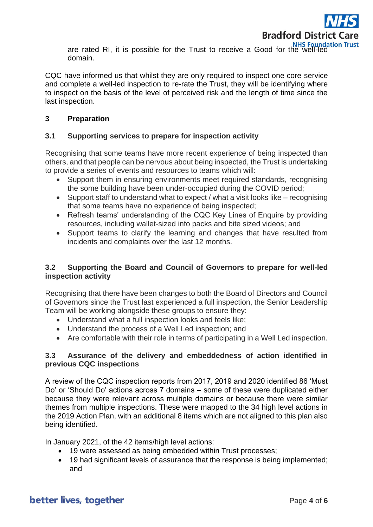

are rated RI, it is possible for the Trust to receive a Good for the well-led domain.

CQC have informed us that whilst they are only required to inspect one core service and complete a well-led inspection to re-rate the Trust, they will be identifying where to inspect on the basis of the level of perceived risk and the length of time since the last inspection.

## **3 Preparation**

## **3.1 Supporting services to prepare for inspection activity**

Recognising that some teams have more recent experience of being inspected than others, and that people can be nervous about being inspected, the Trust is undertaking to provide a series of events and resources to teams which will:

- Support them in ensuring environments meet required standards, recognising the some building have been under-occupied during the COVID period;
- Support staff to understand what to expect / what a visit looks like recognising that some teams have no experience of being inspected;
- Refresh teams' understanding of the CQC Key Lines of Enquire by providing resources, including wallet-sized info packs and bite sized videos; and
- Support teams to clarify the learning and changes that have resulted from incidents and complaints over the last 12 months.

## **3.2 Supporting the Board and Council of Governors to prepare for well-led inspection activity**

Recognising that there have been changes to both the Board of Directors and Council of Governors since the Trust last experienced a full inspection, the Senior Leadership Team will be working alongside these groups to ensure they:

- Understand what a full inspection looks and feels like;
- Understand the process of a Well Led inspection; and
- Are comfortable with their role in terms of participating in a Well Led inspection.

## **3.3 Assurance of the delivery and embeddedness of action identified in previous CQC inspections**

A review of the CQC inspection reports from 2017, 2019 and 2020 identified 86 'Must Do' or 'Should Do' actions across 7 domains – some of these were duplicated either because they were relevant across multiple domains or because there were similar themes from multiple inspections. These were mapped to the 34 high level actions in the 2019 Action Plan, with an additional 8 items which are not aligned to this plan also being identified.

In January 2021, of the 42 items/high level actions:

- 19 were assessed as being embedded within Trust processes;
- 19 had significant levels of assurance that the response is being implemented; and

## better lives, together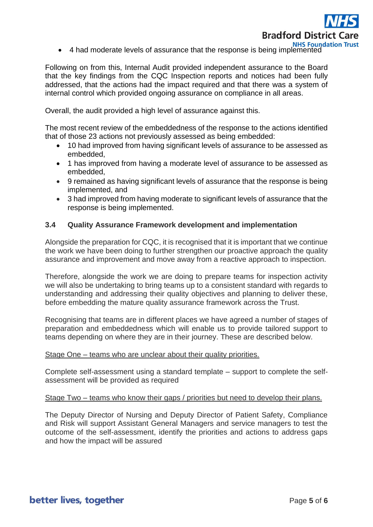

• 4 had moderate levels of assurance that the response is being implemented<br>• 4 had moderate levels of assurance that the response is being implemented

Following on from this, Internal Audit provided independent assurance to the Board that the key findings from the CQC Inspection reports and notices had been fully addressed, that the actions had the impact required and that there was a system of internal control which provided ongoing assurance on compliance in all areas.

Overall, the audit provided a high level of assurance against this.

The most recent review of the embeddedness of the response to the actions identified that of those 23 actions not previously assessed as being embedded:

- 10 had improved from having significant levels of assurance to be assessed as embedded,
- 1 has improved from having a moderate level of assurance to be assessed as embedded,
- 9 remained as having significant levels of assurance that the response is being implemented, and
- 3 had improved from having moderate to significant levels of assurance that the response is being implemented.

## **3.4 Quality Assurance Framework development and implementation**

Alongside the preparation for CQC, it is recognised that it is important that we continue the work we have been doing to further strengthen our proactive approach the quality assurance and improvement and move away from a reactive approach to inspection.

Therefore, alongside the work we are doing to prepare teams for inspection activity we will also be undertaking to bring teams up to a consistent standard with regards to understanding and addressing their quality objectives and planning to deliver these, before embedding the mature quality assurance framework across the Trust.

Recognising that teams are in different places we have agreed a number of stages of preparation and embeddedness which will enable us to provide tailored support to teams depending on where they are in their journey. These are described below.

#### Stage One – teams who are unclear about their quality priorities.

Complete self-assessment using a standard template – support to complete the selfassessment will be provided as required

#### Stage Two – teams who know their gaps / priorities but need to develop their plans.

The Deputy Director of Nursing and Deputy Director of Patient Safety, Compliance and Risk will support Assistant General Managers and service managers to test the outcome of the self-assessment, identify the priorities and actions to address gaps and how the impact will be assured

better lives, together